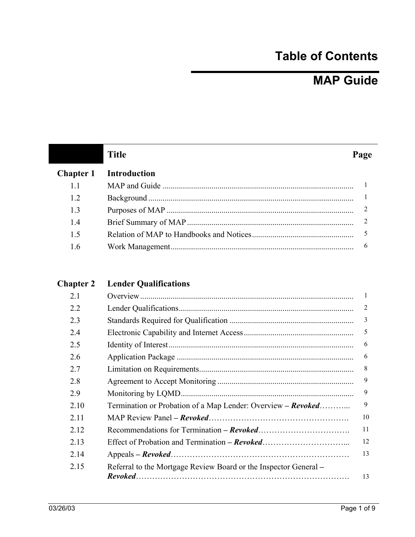## **Table of Contents**

## **MAP Guide**

|                  | <b>Title</b>        | Page |
|------------------|---------------------|------|
| <b>Chapter 1</b> | <b>Introduction</b> |      |
| 1.1              |                     |      |
| 1.2              |                     |      |
| 1.3              |                     |      |
| 1.4              |                     | 2    |
| 1.5              |                     | 5    |
| 16               |                     | h    |

## **Chapter 2 Lender Qualifications**

| 2.1  |                                                                  |    |
|------|------------------------------------------------------------------|----|
| 2.2  |                                                                  | 2  |
| 2.3  |                                                                  | 3  |
| 2.4  |                                                                  | 5  |
| 2.5  |                                                                  | 6  |
| 2.6  |                                                                  | 6  |
| 2.7  |                                                                  | 8  |
| 2.8  |                                                                  | 9  |
| 2.9  |                                                                  | 9  |
| 2.10 | Termination or Probation of a Map Lender: Overview - Revoked     | 9  |
| 2.11 |                                                                  | 10 |
| 2.12 |                                                                  | 11 |
| 2.13 |                                                                  | 12 |
| 2.14 |                                                                  | 13 |
| 2.15 | Referral to the Mortgage Review Board or the Inspector General – |    |
|      |                                                                  | 13 |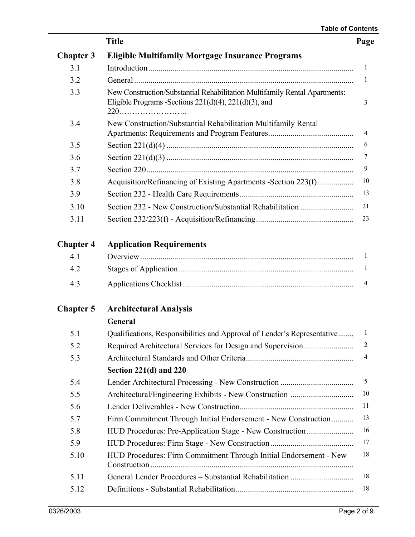|                  | <b>Title</b>                                                                                                                                                                                                                                                                                                                             |
|------------------|------------------------------------------------------------------------------------------------------------------------------------------------------------------------------------------------------------------------------------------------------------------------------------------------------------------------------------------|
| <b>Chapter 3</b> | <b>Eligible Multifamily Mortgage Insurance Programs</b>                                                                                                                                                                                                                                                                                  |
| 3.1              |                                                                                                                                                                                                                                                                                                                                          |
| 3.2              | General $\ldots$ $\ldots$ $\ldots$ $\ldots$ $\ldots$ $\ldots$ $\ldots$ $\ldots$ $\ldots$ $\ldots$ $\ldots$ $\ldots$ $\ldots$ $\ldots$ $\ldots$ $\ldots$ $\ldots$ $\ldots$ $\ldots$ $\ldots$ $\ldots$ $\ldots$ $\ldots$ $\ldots$ $\ldots$ $\ldots$ $\ldots$ $\ldots$ $\ldots$ $\ldots$ $\ldots$ $\ldots$ $\ldots$ $\ldots$ $\ldots$ $\ld$ |
| 3.3              | New Construction/Substantial Rehabilitation Multifamily Rental Apartments:<br>Eligible Programs - Sections $221(d)(4)$ , $221(d)(3)$ , and                                                                                                                                                                                               |
| 3.4              | New Construction/Substantial Rehabilitation Multifamily Rental                                                                                                                                                                                                                                                                           |
| 3.5              |                                                                                                                                                                                                                                                                                                                                          |
| 3.6              |                                                                                                                                                                                                                                                                                                                                          |
| 3.7              |                                                                                                                                                                                                                                                                                                                                          |
| 3.8              | Acquisition/Refinancing of Existing Apartments -Section 223(f)                                                                                                                                                                                                                                                                           |
| 3.9              |                                                                                                                                                                                                                                                                                                                                          |
| 3.10             |                                                                                                                                                                                                                                                                                                                                          |
| 3.11             |                                                                                                                                                                                                                                                                                                                                          |
| <b>Chapter 4</b> | <b>Application Requirements</b>                                                                                                                                                                                                                                                                                                          |
| 4.1              |                                                                                                                                                                                                                                                                                                                                          |
| 4.2              |                                                                                                                                                                                                                                                                                                                                          |
| 4.3              |                                                                                                                                                                                                                                                                                                                                          |
| <b>Chapter 5</b> | <b>Architectural Analysis</b>                                                                                                                                                                                                                                                                                                            |
|                  | General                                                                                                                                                                                                                                                                                                                                  |
| 5.1              | Qualifications, Responsibilities and Approval of Lender's Representative                                                                                                                                                                                                                                                                 |
| 5.2              |                                                                                                                                                                                                                                                                                                                                          |
| 5.3              |                                                                                                                                                                                                                                                                                                                                          |
|                  | Section 221(d) and 220                                                                                                                                                                                                                                                                                                                   |
| 5.4              |                                                                                                                                                                                                                                                                                                                                          |
| 5.5              |                                                                                                                                                                                                                                                                                                                                          |
| 5.6              |                                                                                                                                                                                                                                                                                                                                          |
| 5.7              | Firm Commitment Through Initial Endorsement - New Construction                                                                                                                                                                                                                                                                           |
| 5.8              | HUD Procedures: Pre-Application Stage - New Construction                                                                                                                                                                                                                                                                                 |
| 5.9              |                                                                                                                                                                                                                                                                                                                                          |
| 5.10             | HUD Procedures: Firm Commitment Through Initial Endorsement - New                                                                                                                                                                                                                                                                        |
| 5.11             |                                                                                                                                                                                                                                                                                                                                          |
| 5.12             |                                                                                                                                                                                                                                                                                                                                          |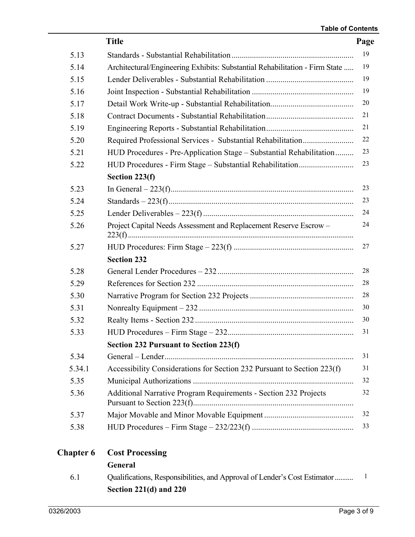|                  | <b>Title</b>                                                                | Page |
|------------------|-----------------------------------------------------------------------------|------|
| 5.13             |                                                                             | 19   |
| 5.14             | Architectural/Engineering Exhibits: Substantial Rehabilitation - Firm State | 19   |
| 5.15             |                                                                             | 19   |
| 5.16             |                                                                             | 19   |
| 5.17             |                                                                             | 20   |
| 5.18             |                                                                             | 21   |
| 5.19             |                                                                             | 21   |
| 5.20             |                                                                             | 22   |
| 5.21             | HUD Procedures - Pre-Application Stage - Substantial Rehabilitation         | 23   |
| 5.22             |                                                                             | 23   |
|                  | Section 223(f)                                                              |      |
| 5.23             |                                                                             | 23   |
| 5.24             |                                                                             | 23   |
| 5.25             |                                                                             | 24   |
| 5.26             | Project Capital Needs Assessment and Replacement Reserve Escrow-            | 24   |
| 5.27             |                                                                             | 27   |
|                  | <b>Section 232</b>                                                          |      |
| 5.28             |                                                                             | 28   |
| 5.29             |                                                                             | 28   |
| 5.30             |                                                                             | 28   |
| 5.31             |                                                                             | 30   |
| 5.32             |                                                                             | 30   |
| 5.33             |                                                                             | 31   |
|                  | Section 232 Pursuant to Section 223(f)                                      |      |
| 5.34             |                                                                             | 31   |
| 5.34.1           | Accessibility Considerations for Section 232 Pursuant to Section 223(f)     | 31   |
| 5.35             |                                                                             | 32   |
| 5.36             | Additional Narrative Program Requirements - Section 232 Projects            | 32   |
| 5.37             |                                                                             | 32   |
| 5.38             |                                                                             | 33   |
| <b>Chapter 6</b> | <b>Cost Processing</b>                                                      |      |
|                  | General                                                                     |      |

 6.1 Qualifications, Responsibilities, and Approval of Lender's Cost Estimator.......... 1 **Section 221(d) and 220**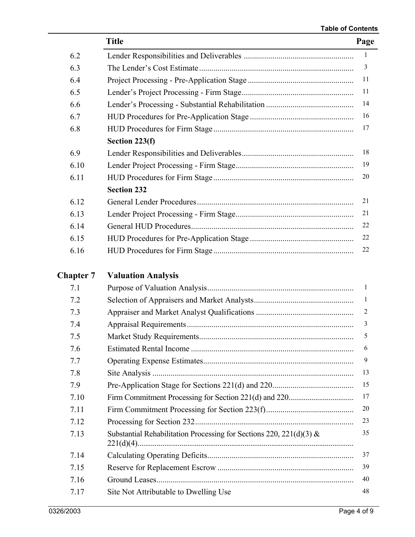|                  | <b>Title</b>                                                           | Page           |
|------------------|------------------------------------------------------------------------|----------------|
| 6.2              |                                                                        | $\mathbf{1}$   |
| 6.3              |                                                                        | $\mathfrak{Z}$ |
| 6.4              |                                                                        | 11             |
| 6.5              |                                                                        | 11             |
| 6.6              |                                                                        | 14             |
| 6.7              |                                                                        | 16             |
| 6.8              |                                                                        | 17             |
|                  | Section 223(f)                                                         |                |
| 6.9              |                                                                        | 18             |
| 6.10             |                                                                        | 19             |
| 6.11             |                                                                        | 20             |
|                  | <b>Section 232</b>                                                     |                |
| 6.12             |                                                                        | 21             |
| 6.13             |                                                                        | 21             |
| 6.14             |                                                                        | 22             |
| 6.15             |                                                                        | 22             |
| 6.16             |                                                                        | 22             |
| <b>Chapter 7</b> | <b>Valuation Analysis</b>                                              |                |
| 7.1              |                                                                        | $\mathbf{1}$   |
| 7.2              |                                                                        | 1              |
| 7.3              |                                                                        | $\overline{2}$ |
| 7.4              |                                                                        | 3              |
| 7.5              | Market Study Requirements                                              | 5              |
| 7.6              |                                                                        | 6              |
| 7.7              |                                                                        | 9              |
| 7.8              |                                                                        | 13             |
| 7.9              |                                                                        | 15             |
| 7.10             |                                                                        | 17             |
| 7.11             |                                                                        | 20             |
| 7.12             |                                                                        | 23             |
| 7.13             | Substantial Rehabilitation Processing for Sections 220, 221(d)(3) $\&$ | 35             |
| 7.14             |                                                                        | 37             |
| 7.15             |                                                                        | 39             |
| 7.16             |                                                                        | 40             |
| 7.17             | Site Not Attributable to Dwelling Use                                  | 48             |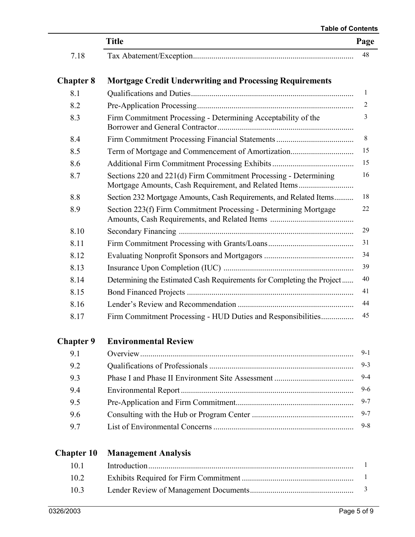## **Table of Contents**

|                   | <b>Title</b>                                                                                                              | Page    |
|-------------------|---------------------------------------------------------------------------------------------------------------------------|---------|
| 7.18              |                                                                                                                           | 48      |
|                   |                                                                                                                           |         |
| <b>Chapter 8</b>  | <b>Mortgage Credit Underwriting and Processing Requirements</b>                                                           | 1       |
| 8.1               |                                                                                                                           |         |
| 8.2               |                                                                                                                           | 2<br>3  |
| 8.3               | Firm Commitment Processing - Determining Acceptability of the                                                             |         |
| 8.4               |                                                                                                                           | 8       |
| 8.5               |                                                                                                                           | 15      |
| 8.6               |                                                                                                                           | 15      |
| 8.7               | Sections 220 and 221(d) Firm Commitment Processing - Determining<br>Mortgage Amounts, Cash Requirement, and Related Items | 16      |
| 8.8               | Section 232 Mortgage Amounts, Cash Requirements, and Related Items                                                        | 18      |
| 8.9               | Section 223(f) Firm Commitment Processing - Determining Mortgage                                                          | 22      |
| 8.10              |                                                                                                                           | 29      |
| 8.11              |                                                                                                                           | 31      |
| 8.12              |                                                                                                                           | 34      |
| 8.13              |                                                                                                                           | 39      |
| 8.14              | Determining the Estimated Cash Requirements for Completing the Project                                                    | 40      |
| 8.15              |                                                                                                                           | 41      |
| 8.16              |                                                                                                                           | 44      |
| 8.17              | Firm Commitment Processing - HUD Duties and Responsibilities                                                              | 45      |
| <b>Chapter 9</b>  | <b>Environmental Review</b>                                                                                               |         |
| 9.1               |                                                                                                                           | $9-1$   |
| 9.2               |                                                                                                                           | $9 - 3$ |
| 9.3               |                                                                                                                           | $9 - 4$ |
| 9.4               |                                                                                                                           | $9 - 6$ |
| 9.5               |                                                                                                                           | $9 - 7$ |
| 9.6               |                                                                                                                           | $9 - 7$ |
| 9.7               |                                                                                                                           | $9 - 8$ |
| <b>Chapter 10</b> | <b>Management Analysis</b>                                                                                                |         |
| 1 <sub>0</sub> 1  | Introduction                                                                                                              |         |

| 101     |  |
|---------|--|
| $102 -$ |  |
| $103 -$ |  |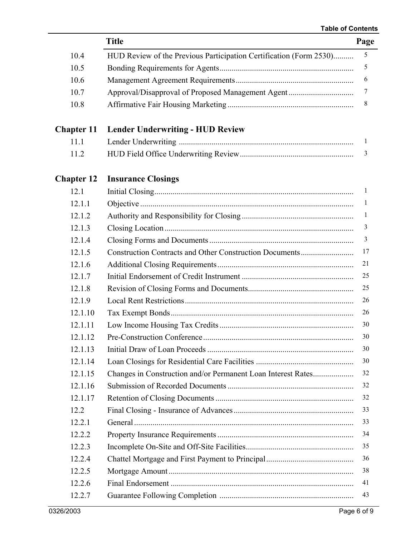÷,

|                   | <b>Title</b>                                                       | Page         |
|-------------------|--------------------------------------------------------------------|--------------|
| 10.4              | HUD Review of the Previous Participation Certification (Form 2530) | 5            |
| 10.5              |                                                                    | 5            |
| 10.6              |                                                                    | 6            |
| 10.7              |                                                                    | 7            |
| 10.8              |                                                                    | 8            |
| <b>Chapter 11</b> | <b>Lender Underwriting - HUD Review</b>                            |              |
| 11.1              |                                                                    | 1            |
| 11.2              |                                                                    | 3            |
| <b>Chapter 12</b> | <b>Insurance Closings</b>                                          |              |
| 12.1              |                                                                    | 1            |
| 12.1.1            |                                                                    | $\mathbf{1}$ |
| 12.1.2            |                                                                    | 1            |
| 12.1.3            |                                                                    | 3            |
| 12.1.4            |                                                                    | 3            |
| 12.1.5            | <b>Construction Contracts and Other Construction Documents</b>     | 17           |
| 12.1.6            |                                                                    | 21           |
| 12.1.7            |                                                                    | 25           |
| 12.1.8            |                                                                    | 25           |
| 12.1.9            |                                                                    | 26           |
| 12.1.10           |                                                                    | 26           |
| 12.1.11           |                                                                    | 30           |
| 12.1.12           | <b>Pre-Construction Conference</b>                                 | 30           |
| 12.1.13           |                                                                    | 30           |
| 12.1.14           |                                                                    | 30           |
| 12.1.15           | Changes in Construction and/or Permanent Loan Interest Rates       | 32           |
| 12.1.16           |                                                                    | 32           |
| 12.1.17           |                                                                    | 32           |
| 12.2              |                                                                    | 33           |
| 12.2.1            |                                                                    | 33           |
| 12.2.2            |                                                                    | 34           |
| 12.2.3            |                                                                    | 35           |
| 12.2.4            |                                                                    | 36           |
| 12.2.5            |                                                                    | 38           |
| 12.2.6            |                                                                    | 41           |
| 12.2.7            |                                                                    | 43           |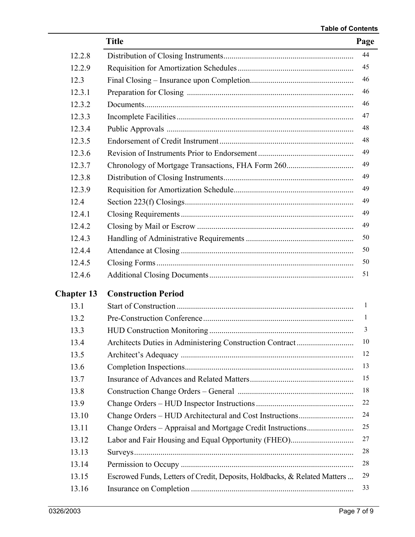|                   | <b>Title</b>                                                              | Page |
|-------------------|---------------------------------------------------------------------------|------|
| 12.2.8            |                                                                           | 44   |
| 12.2.9            |                                                                           | 45   |
| 12.3              |                                                                           | 46   |
| 12.3.1            |                                                                           | 46   |
| 12.3.2            |                                                                           | 46   |
| 12.3.3            |                                                                           | 47   |
| 12.3.4            |                                                                           | 48   |
| 12.3.5            |                                                                           | 48   |
| 12.3.6            |                                                                           | 49   |
| 12.3.7            |                                                                           | 49   |
| 12.3.8            |                                                                           | 49   |
| 12.3.9            |                                                                           | 49   |
| 12.4              |                                                                           | 49   |
| 12.4.1            |                                                                           | 49   |
| 12.4.2            |                                                                           | 49   |
| 12.4.3            |                                                                           | 50   |
| 12.4.4            |                                                                           | 50   |
| 12.4.5            |                                                                           | 50   |
| 12.4.6            |                                                                           | 51   |
| <b>Chapter 13</b> | <b>Construction Period</b>                                                |      |
| 13.1              |                                                                           | 1    |
| 13.2              |                                                                           | 1    |
| 13.3              |                                                                           | 3    |
| 13.4              |                                                                           | 10   |
| 13.5              |                                                                           | 12   |
| 13.6              |                                                                           | 13   |
| 13.7              |                                                                           | 15   |
| 13.8              |                                                                           | 18   |
| 13.9              |                                                                           | 22   |
| 13.10             | Change Orders - HUD Architectural and Cost Instructions                   | 24   |
| 13.11             | Change Orders – Appraisal and Mortgage Credit Instructions                | 25   |
| 13.12             | Labor and Fair Housing and Equal Opportunity (FHEO)                       | 27   |
| 13.13             |                                                                           | 28   |
| 13.14             |                                                                           | 28   |
| 13.15             | Escrowed Funds, Letters of Credit, Deposits, Holdbacks, & Related Matters | 29   |
| 13.16             |                                                                           | 33   |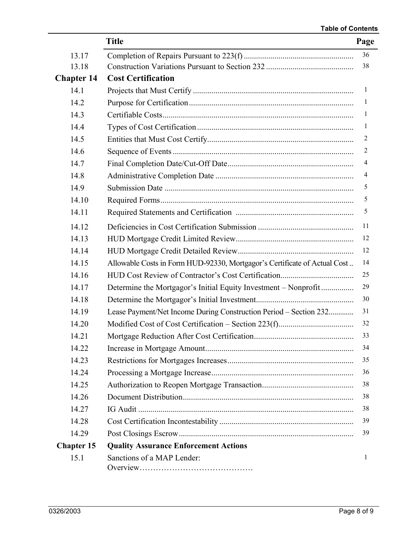|                   | <b>Title</b>                                                              | Page           |
|-------------------|---------------------------------------------------------------------------|----------------|
| 13.17             |                                                                           | 36             |
| 13.18             |                                                                           | 38             |
| <b>Chapter 14</b> | <b>Cost Certification</b>                                                 |                |
| 14.1              |                                                                           | $\mathbf{1}$   |
| 14.2              |                                                                           | $\mathbf{1}$   |
| 14.3              |                                                                           | $\mathbf{1}$   |
| 14.4              |                                                                           | $\mathbf{1}$   |
| 14.5              |                                                                           | $\overline{2}$ |
| 14.6              |                                                                           | 2              |
| 14.7              |                                                                           | 4              |
| 14.8              |                                                                           | 4              |
| 14.9              |                                                                           | 5              |
| 14.10             |                                                                           | 5              |
| 14.11             |                                                                           | 5              |
| 14.12             |                                                                           | 11             |
| 14.13             |                                                                           | 12             |
| 14.14             |                                                                           | 12             |
| 14.15             | Allowable Costs in Form HUD-92330, Mortgagor's Certificate of Actual Cost | 14             |
| 14.16             |                                                                           | 25             |
| 14.17             | Determine the Mortgagor's Initial Equity Investment – Nonprofit           | 29             |
| 14.18             |                                                                           | 30             |
| 14.19             | Lease Payment/Net Income During Construction Period – Section 232         | 31             |
| 14.20             |                                                                           | 32             |
| 14.21             |                                                                           | 33             |
| 14.22             |                                                                           | 34             |
| 14.23             |                                                                           | 35             |
| 14.24             |                                                                           | 36             |
| 14.25             |                                                                           | 38             |
| 14.26             |                                                                           | 38             |
| 14.27             |                                                                           | 38             |
| 14.28             |                                                                           | 39             |
| 14.29             |                                                                           | 39             |
| <b>Chapter 15</b> | <b>Quality Assurance Enforcement Actions</b>                              |                |
| 15.1              | Sanctions of a MAP Lender:                                                | 1              |